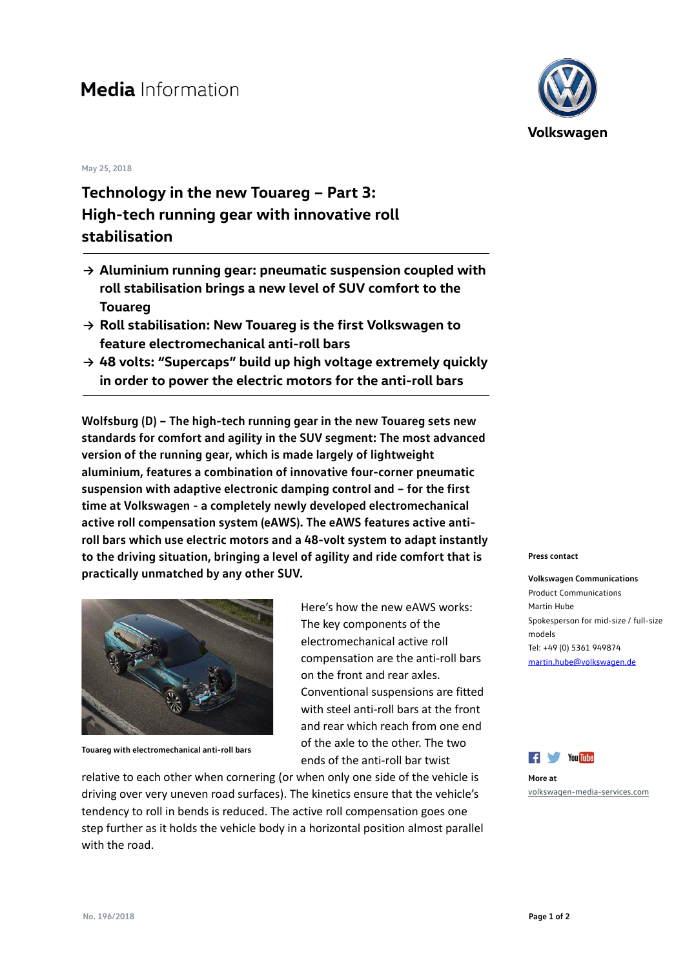## **Media** Information

## **May 25, 2018**

## **Technology in the new Touareg – Part 3: High-tech running gear with innovative roll stabilisation**

- **→ Aluminium running gear: pneumatic suspension coupled with roll stabilisation brings a new level of SUV comfort to the Touareg**
- **→ Roll stabilisation: New Touareg is the first Volkswagen to feature electromechanical anti-roll bars**
- **→ 48 volts: "Supercaps" build up high voltage extremely quickly in order to power the electric motors for the anti-roll bars**

**Wolfsburg (D) – The high-tech running gear in the new Touareg sets new standards for comfort and agility in the SUV segment: The most advanced version of the running gear, which is made largely of lightweight aluminium, features a combination of innovative four-corner pneumatic suspension with adaptive electronic damping control and – for the first time at Volkswagen - a completely newly developed electromechanical active roll compensation system (eAWS). The eAWS features active antiroll bars which use electric motors and a 48-volt system to adapt instantly to the driving situation, bringing a level of agility and ride comfort that is practically unmatched by any other SUV.**



**Touareg with electromechanical anti-roll bars**

Here's how the new eAWS works: The key components of the electromechanical active roll compensation are the anti-roll bars on the front and rear axles. Conventional suspensions are fitted with steel anti-roll bars at the front and rear which reach from one end of the axle to the other. The two ends of the anti-roll bar twist

relative to each other when cornering (or when only one side of the vehicle is driving over very uneven road surfaces). The kinetics ensure that the vehicle's tendency to roll in bends is reduced. The active roll compensation goes one step further as it holds the vehicle body in a horizontal position almost parallel with the road.



## **Press contact**

**Volkswagen Communications** Product Communications Martin Hube Spokesperson for mid-size / full-size models Tel: +49 (0) 5361 949874 [martin.hube@volkswagen.de](mailto:martin.hube@volkswagen.de)



**More at** [volkswagen-media-services.com](https://www.volkswagen-media-services.com/)